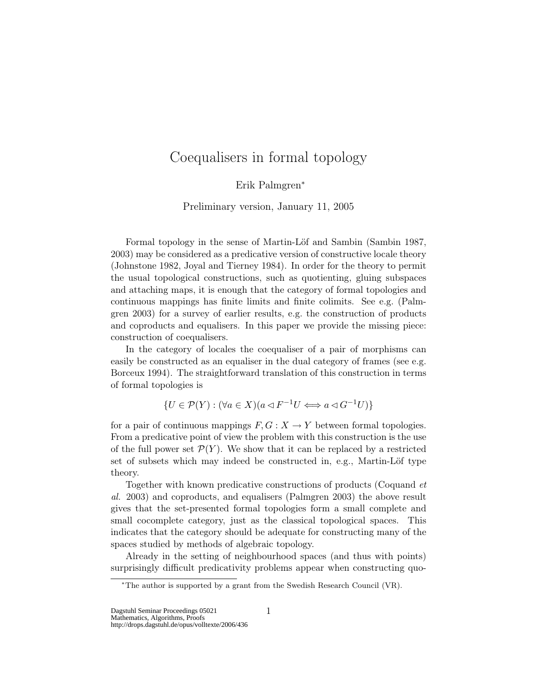# Coequalisers in formal topology

Erik Palmgren<sup>∗</sup>

Preliminary version, January 11, 2005

Formal topology in the sense of Martin-Löf and Sambin (Sambin 1987, 2003) may be considered as a predicative version of constructive locale theory (Johnstone 1982, Joyal and Tierney 1984). In order for the theory to permit the usual topological constructions, such as quotienting, gluing subspaces and attaching maps, it is enough that the category of formal topologies and continuous mappings has finite limits and finite colimits. See e.g. (Palmgren 2003) for a survey of earlier results, e.g. the construction of products and coproducts and equalisers. In this paper we provide the missing piece: construction of coequalisers.

In the category of locales the coequaliser of a pair of morphisms can easily be constructed as an equaliser in the dual category of frames (see e.g. Borceux 1994). The straightforward translation of this construction in terms of formal topologies is

 $\{U \in \mathcal{P}(Y) : (\forall a \in X)(a \triangleleft F^{-1}U \Longleftrightarrow a \triangleleft G^{-1}U)\}\$ 

for a pair of continuous mappings  $F, G: X \to Y$  between formal topologies. From a predicative point of view the problem with this construction is the use of the full power set  $\mathcal{P}(Y)$ . We show that it can be replaced by a restricted set of subsets which may indeed be constructed in, e.g., Martin-Löf type theory.

Together with known predicative constructions of products (Coquand et al. 2003) and coproducts, and equalisers (Palmgren 2003) the above result gives that the set-presented formal topologies form a small complete and small cocomplete category, just as the classical topological spaces. This indicates that the category should be adequate for constructing many of the spaces studied by methods of algebraic topology.

Already in the setting of neighbourhood spaces (and thus with points) surprisingly difficult predicativity problems appear when constructing quo-

Dagstuhl Seminar Proceedings 05021 1

<sup>∗</sup>The author is supported by a grant from the Swedish Research Council (VR).

Mathematics, Algorithms, Proofs http://drops.dagstuhl.de/opus/volltexte/2006/436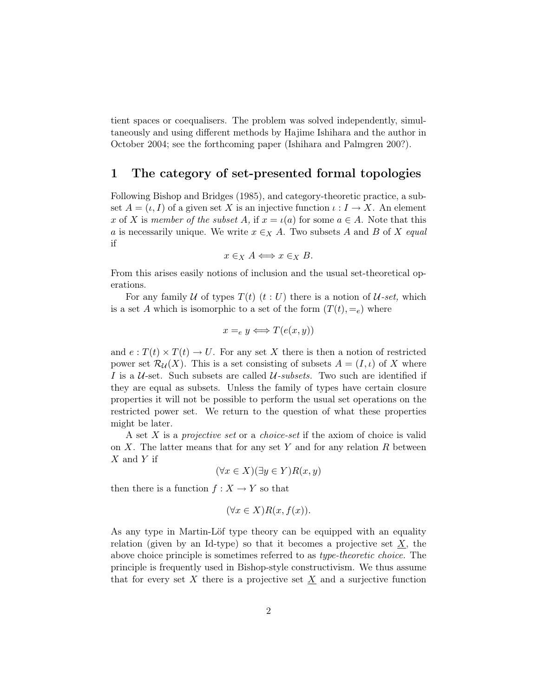tient spaces or coequalisers. The problem was solved independently, simultaneously and using different methods by Hajime Ishihara and the author in October 2004; see the forthcoming paper (Ishihara and Palmgren 200?).

### 1 The category of set-presented formal topologies

Following Bishop and Bridges (1985), and category-theoretic practice, a subset  $A = (\iota, I)$  of a given set X is an injective function  $\iota : I \to X$ . An element x of X is member of the subset A, if  $x = \iota(a)$  for some  $a \in A$ . Note that this a is necessarily unique. We write  $x \in X$  A. Two subsets A and B of X equal if

$$
x \in_X A \Longleftrightarrow x \in_X B.
$$

From this arises easily notions of inclusion and the usual set-theoretical operations.

For any family U of types  $T(t)$   $(t:U)$  there is a notion of U-set, which is a set A which is isomorphic to a set of the form  $(T(t), =_e)$  where

$$
x =_e y \Longleftrightarrow T(e(x, y))
$$

and  $e: T(t) \times T(t) \to U$ . For any set X there is then a notion of restricted power set  $\mathcal{R}_{\mathcal{U}}(X)$ . This is a set consisting of subsets  $A = (I, \iota)$  of X where I is a  $U$ -set. Such subsets are called  $U$ -subsets. Two such are identified if they are equal as subsets. Unless the family of types have certain closure properties it will not be possible to perform the usual set operations on the restricted power set. We return to the question of what these properties might be later.

A set X is a projective set or a choice-set if the axiom of choice is valid on X. The latter means that for any set Y and for any relation R between  $X$  and  $Y$  if

$$
(\forall x \in X)(\exists y \in Y)R(x, y)
$$

then there is a function  $f: X \to Y$  so that

$$
(\forall x \in X) R(x, f(x)).
$$

As any type in Martin-Löf type theory can be equipped with an equality relation (given by an Id-type) so that it becomes a projective set  $X$ , the above choice principle is sometimes referred to as type-theoretic choice. The principle is frequently used in Bishop-style constructivism. We thus assume that for every set X there is a projective set  $\underline{X}$  and a surjective function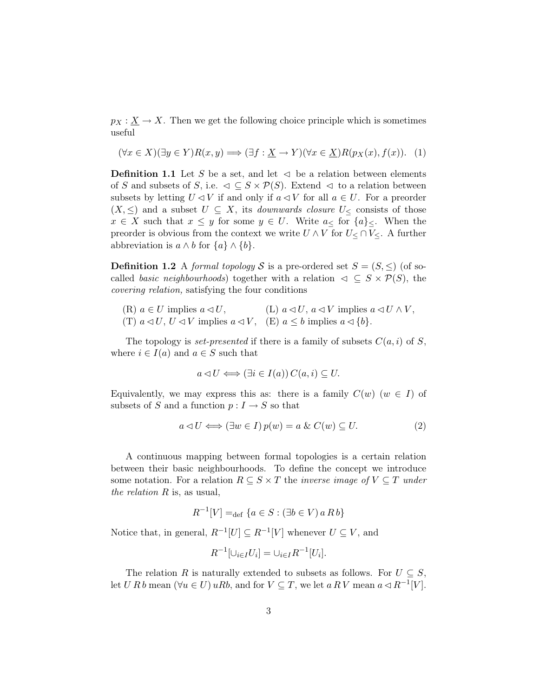$p_X : \underline{X} \to X$ . Then we get the following choice principle which is sometimes useful

$$
(\forall x \in X)(\exists y \in Y)R(x, y) \Longrightarrow (\exists f: \underline{X} \to Y)(\forall x \in \underline{X})R(p_X(x), f(x)). \tag{1}
$$

**Definition 1.1** Let S be a set, and let  $\leq$  be a relation between elements of S and subsets of S, i.e.  $\triangleleft \subseteq S \times \mathcal{P}(S)$ . Extend  $\triangleleft$  to a relation between subsets by letting  $U \triangleleft V$  if and only if  $a \triangleleft V$  for all  $a \in U$ . For a preorder  $(X, \leq)$  and a subset  $U \subseteq X$ , its *downwards closure*  $U_{\leq}$  consists of those  $x \in X$  such that  $x \leq y$  for some  $y \in U$ . Write  $a_{\leq y}$  for  $\{a\}_{\leq y}$ . When the preorder is obvious from the context we write  $U \wedge V$  for  $U \leq \bigcap V \leq Y$ . A further abbreviation is  $a \wedge b$  for  $\{a\} \wedge \{b\}.$ 

**Definition 1.2** A formal topology S is a pre-ordered set  $S = (S, \leq)$  (of socalled basic neighbourhoods) together with a relation  $\varphi \subseteq S \times \mathcal{P}(S)$ , the covering relation, satisfying the four conditions

(R)  $a \in U$  implies  $a \triangleleft U$ , (L)  $a \triangleleft U$ ,  $a \triangleleft V$  implies  $a \triangleleft U \wedge V$ , (T)  $a \triangleleft U$ ,  $U \triangleleft V$  implies  $a \triangleleft V$ , (E)  $a \leq b$  implies  $a \triangleleft \{b\}$ .

The topology is set-presented if there is a family of subsets  $C(a, i)$  of S, where  $i \in I(a)$  and  $a \in S$  such that

$$
a \triangleleft U \Longleftrightarrow (\exists i \in I(a)) \, C(a, i) \subseteq U.
$$

Equivalently, we may express this as: there is a family  $C(w)$  ( $w \in I$ ) of subsets of S and a function  $p: I \to S$  so that

$$
a \triangleleft U \Longleftrightarrow (\exists w \in I) \, p(w) = a \& C(w) \subseteq U. \tag{2}
$$

A continuous mapping between formal topologies is a certain relation between their basic neighbourhoods. To define the concept we introduce some notation. For a relation  $R \subseteq S \times T$  the *inverse image of*  $V \subseteq T$  *under* the relation  $R$  is, as usual,

$$
R^{-1}[V] =_{\text{def}} \{a \in S : (\exists b \in V) \, a \, R \, b\}
$$

Notice that, in general,  $R^{-1}[U] \subseteq R^{-1}[V]$  whenever  $U \subseteq V$ , and

$$
R^{-1}[\cup_{i \in I} U_i] = \cup_{i \in I} R^{-1}[U_i].
$$

The relation R is naturally extended to subsets as follows. For  $U \subseteq S$ , let U R b mean  $(\forall u \in U) uRb$ , and for  $V \subseteq T$ , we let  $a R V$  mean  $a \triangleleft R^{-1} |V|$ .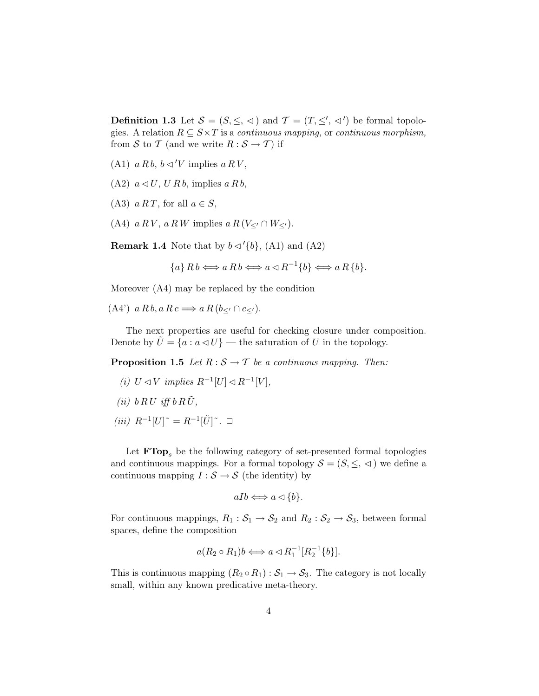**Definition 1.3** Let  $S = (S, \leq, \leq)$  and  $\mathcal{T} = (T, \leq', \leq')$  be formal topologies. A relation  $R \subseteq S \times T$  is a *continuous mapping*, or *continuous morphism*, from S to T (and we write  $R : S \to T$ ) if

- (A1)  $a R b$ ,  $b \triangleleft ' V$  implies  $a R V$ ,
- $(A2)$   $a \triangleleft U$ ,  $U R b$ , implies  $a R b$ ,
- (A3)  $a RT$ , for all  $a \in S$ ,
- (A4)  $a R V$ ,  $a R W$  implies  $a R (V_{\leq'} \cap W_{\leq'})$ .

**Remark 1.4** Note that by  $b \triangleleft' \{b\}$ , (A1) and (A2)

 ${a} R b \Longleftrightarrow a R b \Longleftrightarrow a \triangleleft R^{-1} {b} \Longleftrightarrow a R {b}.$ 

Moreover (A4) may be replaced by the condition

(A4')  $a R b, a R c \Longrightarrow a R (b<sub>lt</sub> \cap c<sub>lt</sub>).$ 

The next properties are useful for checking closure under composition. Denote by  $U = \{a : a \triangleleft U\}$  — the saturation of U in the topology.

**Proposition 1.5** Let  $R : \mathcal{S} \to \mathcal{T}$  be a continuous mapping. Then:

- (i)  $U \triangleleft V$  implies  $R^{-1}[U] \triangleleft R^{-1}[V],$
- (ii)  $b R U$  iff  $b R \tilde{U}$ ,
- $(iii)$   $R^{-1}[U]$ <sup>~</sup> =  $R^{-1}[\tilde{U}]$ <sup>~</sup>. □

Let  $\mathbf{FTop}_{s}$  be the following category of set-presented formal topologies and continuous mappings. For a formal topology  $S = (S, \leq, \leq)$  we define a continuous mapping  $I : \mathcal{S} \to \mathcal{S}$  (the identity) by

$$
aIb \Longleftrightarrow a \lhd \{b\}.
$$

For continuous mappings,  $R_1 : S_1 \to S_2$  and  $R_2 : S_2 \to S_3$ , between formal spaces, define the composition

$$
a(R_2 \circ R_1)b \Longleftrightarrow a \triangleleft R_1^{-1}[R_2^{-1}{b}].
$$

This is continuous mapping  $(R_2 \circ R_1) : S_1 \to S_3$ . The category is not locally small, within any known predicative meta-theory.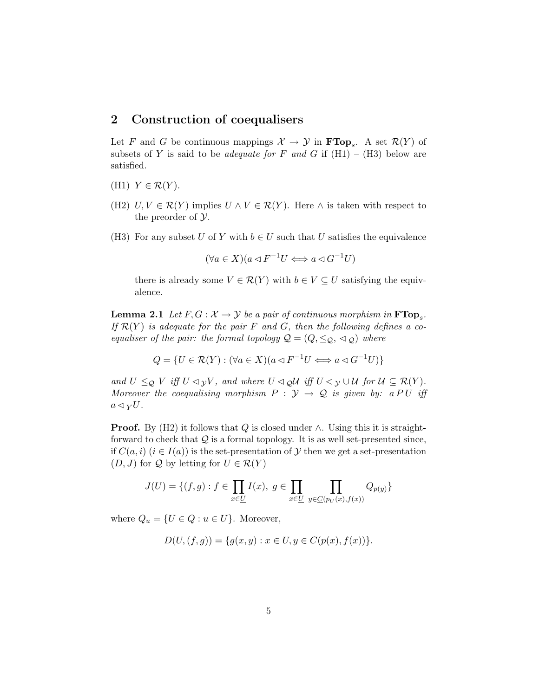## 2 Construction of coequalisers

Let F and G be continuous mappings  $\mathcal{X} \to \mathcal{Y}$  in  $\textbf{FTop}_s$ . A set  $\mathcal{R}(Y)$  of subsets of Y is said to be *adequate for* F and G if  $(H1) - (H3)$  below are satisfied.

- (H1)  $Y \in \mathcal{R}(Y)$ .
- (H2)  $U, V \in \mathcal{R}(Y)$  implies  $U \wedge V \in \mathcal{R}(Y)$ . Here  $\wedge$  is taken with respect to the preorder of  $\mathcal{Y}$ .
- (H3) For any subset U of Y with  $b \in U$  such that U satisfies the equivalence

$$
(\forall a \in X)(a \lhd F^{-1}U \iff a \lhd G^{-1}U)
$$

there is already some  $V \in \mathcal{R}(Y)$  with  $b \in V \subseteq U$  satisfying the equivalence.

**Lemma 2.1** Let  $F, G: \mathcal{X} \to \mathcal{Y}$  be a pair of continuous morphism in  $\textbf{FTop}_{s}$ . If  $\mathcal{R}(Y)$  is adequate for the pair F and G, then the following defines a coequaliser of the pair: the formal topology  $\mathcal{Q} = (Q, \leq_{\mathcal{Q}}, \leq_{\mathcal{Q}})$  where

$$
Q = \{ U \in \mathcal{R}(Y) : (\forall a \in X)(a \triangleleft F^{-1}U \Longleftrightarrow a \triangleleft G^{-1}U) \}
$$

and  $U \leq_{\mathcal{Q}} V$  iff  $U \triangleleft_{\mathcal{Y}} V$ , and where  $U \triangleleft_{\mathcal{Q}} \mathcal{U}$  iff  $U \triangleleft_{\mathcal{Y}} \cup \mathcal{U}$  for  $\mathcal{U} \subseteq \mathcal{R}(Y)$ . Moreover the coequalising morphism  $P : \mathcal{Y} \to \mathcal{Q}$  is given by: a PU iff  $a \triangleleft yU$ .

**Proof.** By (H2) it follows that Q is closed under  $\wedge$ . Using this it is straightforward to check that  $Q$  is a formal topology. It is as well set-presented since, if  $C(a, i)$   $(i \in I(a))$  is the set-presentation of Y then we get a set-presentation  $(D, J)$  for Q by letting for  $U \in \mathcal{R}(Y)$ 

$$
J(U) = \{(f, g) : f \in \prod_{x \in U} I(x), g \in \prod_{x \in U} \prod_{y \in C(p_U(x), f(x))} Q_{p(y)}\}
$$

where  $Q_u = \{U \in Q : u \in U\}$ . Moreover,

$$
D(U, (f, g)) = \{g(x, y) : x \in U, y \in \underline{C}(p(x), f(x))\}.
$$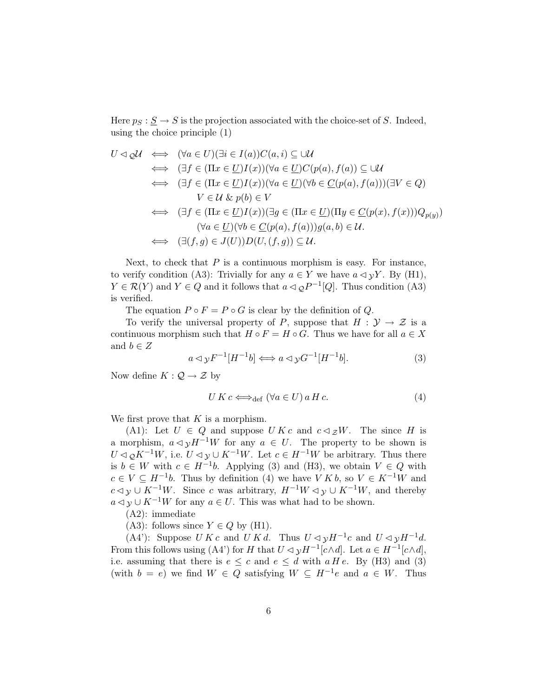Here  $p_S : \underline{S} \to S$  is the projection associated with the choice-set of S. Indeed, using the choice principle (1)

$$
U \triangleleft \underset{\bigtriangleup} U \iff (\forall a \in U)(\exists i \in I(a))C(a, i) \subseteq \cup U
$$
  
\n
$$
\iff (\exists f \in (\Pi x \in \underline{U})I(x))(\forall a \in \underline{U})C(p(a), f(a)) \subseteq \cup U
$$
  
\n
$$
\iff (\exists f \in (\Pi x \in \underline{U})I(x))(\forall a \in \underline{U})(\forall b \in \underline{C}(p(a), f(a)))(\exists V \in \underline{Q})
$$
  
\n
$$
V \in \mathcal{U} \& p(b) \in V
$$
  
\n
$$
\iff (\exists f \in (\Pi x \in \underline{U})I(x))(\exists g \in (\Pi x \in \underline{U})(\Pi y \in \underline{C}(p(x), f(x)))Q_{p(y)})
$$
  
\n
$$
(\forall a \in \underline{U})(\forall b \in \underline{C}(p(a), f(a)))g(a, b) \in \mathcal{U}.
$$
  
\n
$$
\iff (\exists (f, g) \in J(U))D(U, (f, g)) \subseteq \mathcal{U}.
$$

Next, to check that  $P$  is a continuous morphism is easy. For instance, to verify condition (A3): Trivially for any  $a \in Y$  we have  $a \triangleleft yY$ . By (H1),  $Y \in \mathcal{R}(Y)$  and  $Y \in Q$  and it follows that  $a \triangleleft q P^{-1}[Q]$ . Thus condition (A3) is verified.

The equation  $P \circ F = P \circ G$  is clear by the definition of Q.

To verify the universal property of P, suppose that  $H : \mathcal{Y} \to \mathcal{Z}$  is a continuous morphism such that  $H \circ F = H \circ G$ . Thus we have for all  $a \in X$ and  $b \in Z$ 

$$
a \triangleleft y F^{-1}[H^{-1}b] \Longleftrightarrow a \triangleleft y G^{-1}[H^{-1}b]. \tag{3}
$$

Now define  $K: \mathcal{Q} \to \mathcal{Z}$  by

$$
U K c \Longleftrightarrow_{\text{def}} (\forall a \in U) a H c. \tag{4}
$$

We first prove that  $K$  is a morphism.

(A1): Let  $U \in Q$  and suppose  $UKc$  and  $c \triangleleft zW$ . The since H is a morphism,  $a \triangleleft yH^{-1}W$  for any  $a \in U$ . The property to be shown is  $U \triangleleft_{\mathcal{O}} K^{-1}W$ , i.e.  $U \triangleleft_{\mathcal{V}} \cup K^{-1}W$ . Let  $c \in H^{-1}W$  be arbitrary. Thus there is  $b \in W$  with  $c \in H^{-1}b$ . Applying (3) and (H3), we obtain  $V \in Q$  with  $c \in V \subseteq H^{-1}b$ . Thus by definition (4) we have  $V K b$ , so  $V \in K^{-1}W$  and  $c \triangleleft y \cup K^{-1}W$ . Since c was arbitrary,  $H^{-1}W \triangleleft y \cup K^{-1}W$ , and thereby  $a \triangleleft y \cup K^{-1}W$  for any  $a \in U$ . This was what had to be shown.

(A2): immediate

(A3): follows since  $Y \in Q$  by (H1).

(A4'): Suppose  $U K c$  and  $U K d$ . Thus  $U \triangleleft y H^{-1} c$  and  $U \triangleleft y H^{-1} d$ . From this follows using (A4') for H that  $U \triangleleft y H^{-1} [c \wedge d]$ . Let  $a \in H^{-1} [c \wedge d]$ , i.e. assuming that there is  $e \leq c$  and  $e \leq d$  with a H e. By (H3) and (3) (with  $b = e$ ) we find  $W \in Q$  satisfying  $W \subseteq H^{-1}e$  and  $a \in W$ . Thus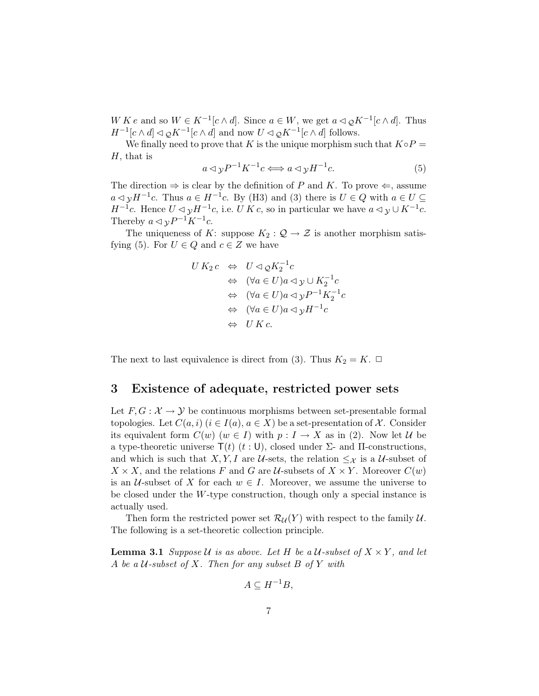W K e and so  $W \in K^{-1}[c \wedge d]$ . Since  $a \in W$ , we get  $a \triangleleft_{\mathcal{Q}} K^{-1}[c \wedge d]$ . Thus  $H^{-1}[c \wedge d] \triangleleft \mathcal{Q}K^{-1}[c \wedge d]$  and now  $U \triangleleft \mathcal{Q}K^{-1}[c \wedge d]$  follows.

We finally need to prove that K is the unique morphism such that  $K \circ P =$  $H$ , that is

$$
a \triangleleft y P^{-1} K^{-1} c \Longleftrightarrow a \triangleleft y H^{-1} c. \tag{5}
$$

The direction  $\Rightarrow$  is clear by the definition of P and K. To prove  $\Leftarrow$ , assume  $a \triangleleft y H^{-1}c$ . Thus  $a \in H^{-1}c$ . By (H3) and (3) there is  $U \in Q$  with  $a \in U \subseteq$  $H^{-1}c$ . Hence  $U \triangleleft yH^{-1}c$ , i.e.  $U K c$ , so in particular we have  $a \triangleleft y \cup K^{-1}c$ . Thereby  $a \triangleleft y P^{-1} K^{-1} c$ .

The uniqueness of K: suppose  $K_2: \mathcal{Q} \to \mathcal{Z}$  is another morphism satisfying (5). For  $U \in Q$  and  $c \in Z$  we have

$$
U K_2 c \Leftrightarrow U \lhd_{\mathcal{Q}} K_2^{-1} c
$$
  
\n
$$
\Leftrightarrow (\forall a \in U) a \lhd y \cup K_2^{-1} c
$$
  
\n
$$
\Leftrightarrow (\forall a \in U) a \lhd y P^{-1} K_2^{-1} c
$$
  
\n
$$
\Leftrightarrow (\forall a \in U) a \lhd y H^{-1} c
$$
  
\n
$$
\Leftrightarrow UK c.
$$

The next to last equivalence is direct from (3). Thus  $K_2 = K$ .  $\Box$ 

### 3 Existence of adequate, restricted power sets

Let  $F, G: \mathcal{X} \to \mathcal{Y}$  be continuous morphisms between set-presentable formal topologies. Let  $C(a, i)$   $(i \in I(a), a \in X)$  be a set-presentation of X. Consider its equivalent form  $C(w)$   $(w \in I)$  with  $p: I \to X$  as in (2). Now let U be a type-theoretic universe  $\mathsf{T}(t)$  (t: U), closed under Σ- and Π-constructions, and which is such that X, Y, I are U-sets, the relation  $\leq_{\mathcal{X}}$  is a U-subset of  $X \times X$ , and the relations F and G are U-subsets of  $X \times Y$ . Moreover  $C(w)$ is an  $U$ -subset of X for each  $w \in I$ . Moreover, we assume the universe to be closed under the  $W$ -type construction, though only a special instance is actually used.

Then form the restricted power set  $\mathcal{R}_{\mathcal{U}}(Y)$  with respect to the family  $\mathcal{U}$ . The following is a set-theoretic collection principle.

**Lemma 3.1** Suppose U is as above. Let H be a U-subset of  $X \times Y$ , and let A be a U-subset of X. Then for any subset B of Y with

$$
A \subseteq H^{-1}B,
$$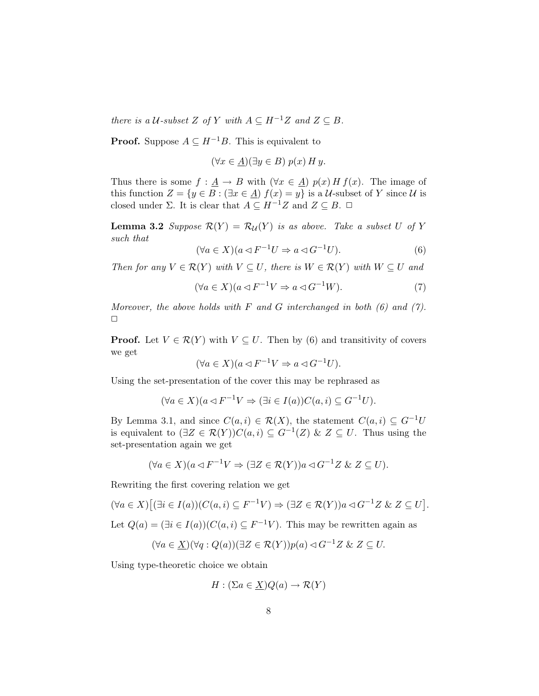there is a U-subset Z of Y with  $A \subseteq H^{-1}Z$  and  $Z \subseteq B$ .

**Proof.** Suppose  $A \subseteq H^{-1}B$ . This is equivalent to

$$
(\forall x \in \underline{A})(\exists y \in B) p(x) H y.
$$

Thus there is some  $f: \underline{A} \to B$  with  $(\forall x \in \underline{A}) p(x) H f(x)$ . The image of this function  $Z = \{y \in B : (\exists x \in \underline{A}) f(x) = y\}$  is a U-subset of Y since U is closed under  $\Sigma$ . It is clear that  $A \subseteq H^{-1}Z$  and  $Z \subseteq B$ .  $\Box$ 

**Lemma 3.2** Suppose  $\mathcal{R}(Y) = \mathcal{R}_{\mathcal{U}}(Y)$  is as above. Take a subset U of Y such that

$$
(\forall a \in X)(a \lhd F^{-1}U \Rightarrow a \lhd G^{-1}U). \tag{6}
$$

Then for any  $V \in \mathcal{R}(Y)$  with  $V \subseteq U$ , there is  $W \in \mathcal{R}(Y)$  with  $W \subseteq U$  and

$$
(\forall a \in X)(a \triangleleft F^{-1}V \Rightarrow a \triangleleft G^{-1}W). \tag{7}
$$

Moreover, the above holds with  $F$  and  $G$  interchanged in both  $(6)$  and  $(7)$ .  $\Box$ 

**Proof.** Let  $V \in \mathcal{R}(Y)$  with  $V \subseteq U$ . Then by (6) and transitivity of covers we get

$$
(\forall a \in X)(a \triangleleft F^{-1}V \Rightarrow a \triangleleft G^{-1}U).
$$

Using the set-presentation of the cover this may be rephrased as

$$
(\forall a \in X)(a \lhd F^{-1}V \Rightarrow (\exists i \in I(a))C(a, i) \subseteq G^{-1}U).
$$

By Lemma 3.1, and since  $C(a, i) \in \mathcal{R}(X)$ , the statement  $C(a, i) \subseteq G^{-1}U$ is equivalent to  $(\exists Z \in \mathcal{R}(Y))C(a,i) \subseteq G^{-1}(Z)$  &  $Z \subseteq U$ . Thus using the set-presentation again we get

$$
(\forall a \in X)(a \triangleleft F^{-1}V \Rightarrow (\exists Z \in \mathcal{R}(Y))a \triangleleft G^{-1}Z \& Z \subseteq U).
$$

Rewriting the first covering relation we get

$$
(\forall a \in X) \big[ (\exists i \in I(a)) (C(a, i) \subseteq F^{-1}V) \Rightarrow (\exists Z \in \mathcal{R}(Y)) a \triangleleft G^{-1}Z \& Z \subseteq U \big].
$$

Let  $Q(a) = (\exists i \in I(a)) (C(a, i) \subseteq F^{-1}V)$ . This may be rewritten again as

$$
(\forall a \in \underline{X})(\forall q : Q(a))(\exists Z \in \mathcal{R}(Y))p(a) \lhd G^{-1}Z \& Z \subseteq U.
$$

Using type-theoretic choice we obtain

$$
H: (\Sigma a \in \underline{X})Q(a) \to \mathcal{R}(Y)
$$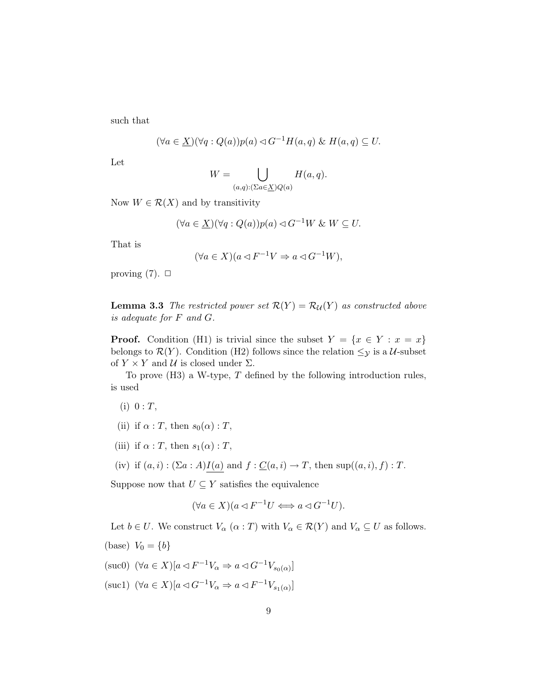such that

$$
(\forall a \in \underline{X})(\forall q : Q(a))p(a) \lhd G^{-1}H(a,q) \& H(a,q) \subseteq U.
$$

Let

$$
W = \bigcup_{(a,q): (\sum a \in \underline{X})Q(a)} H(a,q).
$$

Now  $W \in \mathcal{R}(X)$  and by transitivity

$$
(\forall a \in \underline{X})(\forall q : Q(a))p(a) \lhd G^{-1}W \& W \subseteq U.
$$

That is

$$
(\forall a \in X)(a \triangleleft F^{-1}V \Rightarrow a \triangleleft G^{-1}W),
$$

proving  $(7)$ .  $\Box$ 

**Lemma 3.3** The restricted power set  $\mathcal{R}(Y) = \mathcal{R}_{\mathcal{U}}(Y)$  as constructed above is adequate for F and G.

**Proof.** Condition (H1) is trivial since the subset  $Y = \{x \in Y : x = x\}$ belongs to  $\mathcal{R}(Y)$ . Condition (H2) follows since the relation  $\leq_{\mathcal{Y}}$  is a U-subset of  $Y \times Y$  and  $U$  is closed under  $\Sigma$ .

To prove  $(H3)$  a W-type, T defined by the following introduction rules, is used

- $(i) 0 : T,$
- (ii) if  $\alpha$  : T, then  $s_0(\alpha)$  : T,
- (iii) if  $\alpha$  : T, then  $s_1(\alpha)$  : T,
- (iv) if  $(a, i) : (\Sigma a : A)I(a)$  and  $f : \underline{C}(a, i) \to T$ , then sup $((a, i), f) : T$ .

Suppose now that  $U \subseteq Y$  satisfies the equivalence

$$
(\forall a \in X)(a \triangleleft F^{-1}U \Longleftrightarrow a \triangleleft G^{-1}U).
$$

Let  $b \in U$ . We construct  $V_{\alpha}$   $(\alpha : T)$  with  $V_{\alpha} \in \mathcal{R}(Y)$  and  $V_{\alpha} \subseteq U$  as follows.

(base)  $V_0 = \{b\}$ 

(suc0) 
$$
(\forall a \in X)[a \triangleleft F^{-1}V_{\alpha} \Rightarrow a \triangleleft G^{-1}V_{s_0(\alpha)}]
$$

(suc1)  $(\forall a \in X)[a \triangleleft G^{-1}V_{\alpha} \Rightarrow a \triangleleft F^{-1}V_{s_1(\alpha)}]$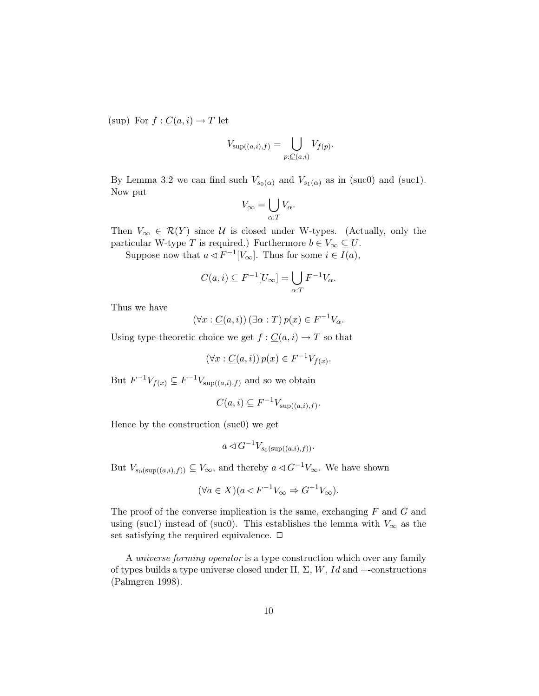(sup) For  $f: \underline{C}(a, i) \to T$  let

$$
V_{\sup((a,i),f)} = \bigcup_{p:\underline{C}(a,i)} V_{f(p)}.
$$

By Lemma 3.2 we can find such  $V_{s_0(\alpha)}$  and  $V_{s_1(\alpha)}$  as in (suc0) and (suc1). Now put

$$
V_{\infty} = \bigcup_{\alpha:T} V_{\alpha}.
$$

Then  $V_{\infty} \in \mathcal{R}(Y)$  since U is closed under W-types. (Actually, only the particular W-type T is required.) Furthermore  $b \in V_{\infty} \subseteq U$ .

Suppose now that  $a \triangleleft F^{-1}[V_\infty]$ . Thus for some  $i \in I(a)$ ,

$$
C(a, i) \subseteq F^{-1}[U_{\infty}] = \bigcup_{\alpha: T} F^{-1}V_{\alpha}.
$$

Thus we have

$$
(\forall x : \underline{C}(a, i)) \left(\exists \alpha : T\right) p(x) \in F^{-1}V_{\alpha}.
$$

Using type-theoretic choice we get  $f: \underline{C}(a, i) \to T$  so that

 $(\forall x : \underline{C}(a, i)) p(x) \in F^{-1}V_{f(x)}$ 

But  $F^{-1}V_{f(x)} \subseteq F^{-1}V_{\text{sup}((a,i),f)}$  and so we obtain

$$
C(a,i) \subseteq F^{-1}V_{\sup((a,i),f)}.
$$

Hence by the construction (suc0) we get

$$
a \triangleleft G^{-1} V_{s_0(\sup((a,i),f))}.
$$

But  $V_{s_0(\sup((a,i),f))} \subseteq V_\infty$ , and thereby  $a \triangleleft G^{-1}V_\infty$ . We have shown

$$
(\forall a \in X)(a \triangleleft F^{-1}V_{\infty} \Rightarrow G^{-1}V_{\infty}).
$$

The proof of the converse implication is the same, exchanging  $F$  and  $G$  and using (suc1) instead of (suc0). This establishes the lemma with  $V_{\infty}$  as the set satisfying the required equivalence.  $\Box$ 

A universe forming operator is a type construction which over any family of types builds a type universe closed under  $\Pi$ ,  $\Sigma$ ,  $W$ ,  $Id$  and +-constructions (Palmgren 1998).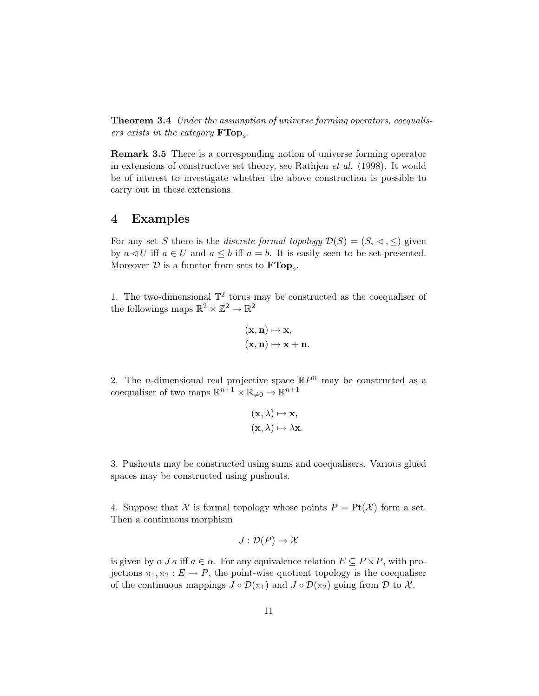Theorem 3.4 Under the assumption of universe forming operators, coequalisers exists in the category  $\textbf{FTop}_s$ .

Remark 3.5 There is a corresponding notion of universe forming operator in extensions of constructive set theory, see Rathjen et al. (1998). It would be of interest to investigate whether the above construction is possible to carry out in these extensions.

#### 4 Examples

For any set S there is the *discrete formal topology*  $\mathcal{D}(S) = (S, \lhd, \leq)$  given by  $a \triangleleft U$  iff  $a \in U$  and  $a \leq b$  iff  $a = b$ . It is easily seen to be set-presented. Moreover  $D$  is a functor from sets to  $\textbf{FTop}_s$ .

1. The two-dimensional  $\mathbb{T}^2$  torus may be constructed as the coequaliser of the followings maps  $\mathbb{R}^2 \times \mathbb{Z}^2 \to \mathbb{R}^2$ 

$$
\begin{aligned} (\mathbf{x},\mathbf{n}) &\mapsto \mathbf{x},\\ (\mathbf{x},\mathbf{n}) &\mapsto \mathbf{x}+\mathbf{n}. \end{aligned}
$$

2. The *n*-dimensional real projective space  $\mathbb{R}P^n$  may be constructed as a coequaliser of two maps  $\mathbb{R}^{n+1} \times \mathbb{R}_{\neq 0} \to \mathbb{R}^{n+1}$ 

$$
(\mathbf{x}, \lambda) \mapsto \mathbf{x},
$$

$$
(\mathbf{x}, \lambda) \mapsto \lambda \mathbf{x}.
$$

3. Pushouts may be constructed using sums and coequalisers. Various glued spaces may be constructed using pushouts.

4. Suppose that X is formal topology whose points  $P = Pt(X)$  form a set. Then a continuous morphism

$$
J:\mathcal{D}(P)\to\mathcal{X}
$$

is given by  $\alpha J a$  iff  $a \in \alpha$ . For any equivalence relation  $E \subseteq P \times P$ , with projections  $\pi_1, \pi_2 : E \to P$ , the point-wise quotient topology is the coequaliser of the continuous mappings  $J \circ \mathcal{D}(\pi_1)$  and  $J \circ \mathcal{D}(\pi_2)$  going from  $\mathcal D$  to  $\mathcal X$ .